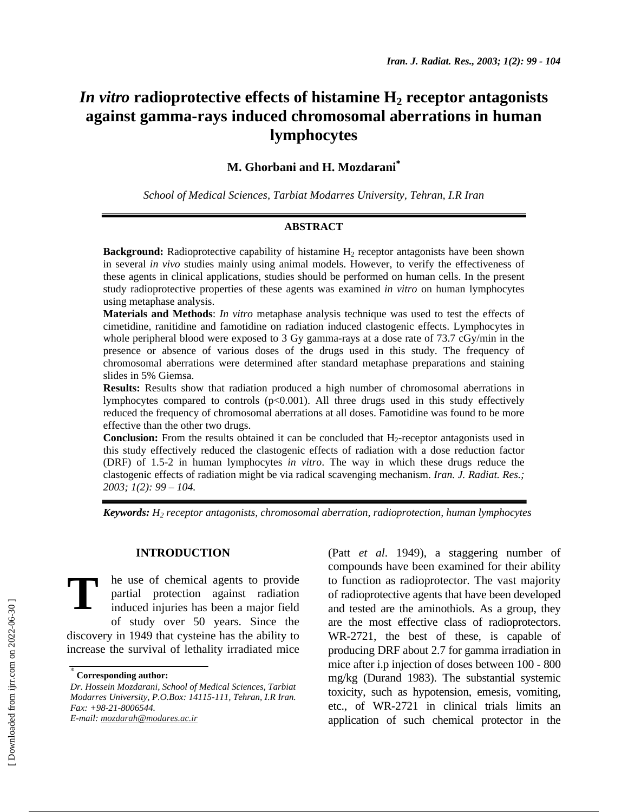# *In vitro* radioprotective effects of histamine H<sub>2</sub> receptor antagonists **against gamma-rays induced chromosomal aberrations in human lymphocytes**

## **M. Ghorbani and H. Mozdarani**<sup>∗</sup>

*School of Medical Sciences, Tarbiat Modarres University, Tehran, I.R Iran* 

### **ABSTRACT**

**Background:** Radioprotective capability of histamine H<sub>2</sub> receptor antagonists have been shown in several *in vivo* studies mainly using animal models. However, to verify the effectiveness of these agents in clinical applications, studies should be performed on human cells. In the present study radioprotective properties of these agents was examined *in vitro* on human lymphocytes using metaphase analysis.

**Materials and Methods**: *In vitro* metaphase analysis technique was used to test the effects of cimetidine, ranitidine and famotidine on radiation induced clastogenic effects. Lymphocytes in whole peripheral blood were exposed to 3 Gy gamma-rays at a dose rate of 73.7 cGy/min in the presence or absence of various doses of the drugs used in this study. The frequency of chromosomal aberrations were determined after standard metaphase preparations and staining slides in 5% Giemsa.

**Results:** Results show that radiation produced a high number of chromosomal aberrations in lymphocytes compared to controls  $(p<0.001)$ . All three drugs used in this study effectively reduced the frequency of chromosomal aberrations at all doses. Famotidine was found to be more effective than the other two drugs.

**Conclusion:** From the results obtained it can be concluded that H<sub>2</sub>-receptor antagonists used in this study effectively reduced the clastogenic effects of radiation with a dose reduction factor (DRF) of 1.5-2 in human lymphocytes *in vitro*. The way in which these drugs reduce the clastogenic effects of radiation might be via radical scavenging mechanism. *Iran. J. Radiat. Res.; 2003; 1(2): 99 – 104.* 

*Keywords: H2 receptor antagonists, chromosomal aberration, radioprotection, human lymphocytes*

### **INTRODUCTION**

he use of chemical agents to provide partial protection against radiation induced injuries has been a major field of study over 50 years. Since the discovery in 1949 that cysteine has the ability to increase the survival of lethality irradiated mice **T**

(Patt *et al*. 1949), a staggering number of compounds have been examined for their ability to function as radioprotector. The vast majority of radioprotective agents that have been developed and tested are the aminothiols. As a group, they are the most effective class of radioprotectors. WR-2721, the best of these, is capable of producing DRF about 2.7 for gamma irradiation in mice after i.p injection of doses between 100 - 800 mg/kg (Durand 1983). The substantial systemic toxicity, such as hypotension, emesis, vomiting, etc., of WR-2721 in clinical trials limits an application of such chemical protector in the

<sup>∗</sup>  **Corresponding author:**

*Dr. Hossein Mozdarani, School of Medical Sciences, Tarbiat Modarres University, P.O.Box: 14115-111, Tehran, I.R Iran. Fax: +98-21-8006544. E-mail: mozdarah@modares.ac.ir*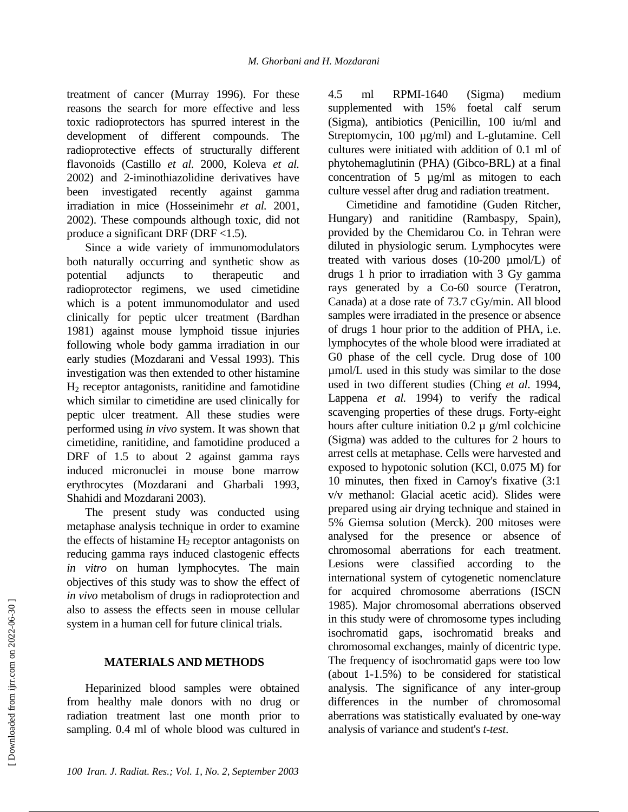treatment of cancer (Murray 1996). For these reasons the search for more effective and less toxic radioprotectors has spurred interest in the development of different compounds. The radioprotective effects of structurally different flavonoids (Castillo *et al.* 2000, Koleva *et al.* 2002) and 2-iminothiazolidine derivatives have been investigated recently against gamma irradiation in mice (Hosseinimehr *et al.* 2001, 2002). These compounds although toxic, did not produce a significant DRF (DRF  $<$ 1.5).

Since a wide variety of immunomodulators both naturally occurring and synthetic show as potential adjuncts to therapeutic and radioprotector regimens, we used cimetidine which is a potent immunomodulator and used clinically for peptic ulcer treatment (Bardhan 1981) against mouse lymphoid tissue injuries following whole body gamma irradiation in our early studies (Mozdarani and Vessal 1993). This investigation was then extended to other histamine  $H<sub>2</sub>$  receptor antagonists, ranitidine and famotidine which similar to cimetidine are used clinically for peptic ulcer treatment. All these studies were performed using *in vivo* system. It was shown that cimetidine, ranitidine, and famotidine produced a DRF of 1.5 to about 2 against gamma rays induced micronuclei in mouse bone marrow erythrocytes (Mozdarani and Gharbali 1993, Shahidi and Mozdarani 2003).

The present study was conducted using metaphase analysis technique in order to examine the effects of histamine  $H_2$  receptor antagonists on reducing gamma rays induced clastogenic effects *in vitro* on human lymphocytes. The main objectives of this study was to show the effect of *in vivo* metabolism of drugs in radioprotection and also to assess the effects seen in mouse cellular system in a human cell for future clinical trials.

### **MATERIALS AND METHODS**

Heparinized blood samples were obtained from healthy male donors with no drug or radiation treatment last one month prior to sampling. 0.4 ml of whole blood was cultured in 4.5 ml RPMI-1640 (Sigma) medium supplemented with 15% foetal calf serum (Sigma), antibiotics (Penicillin, 100 iu/ml and Streptomycin, 100  $\mu$ g/ml) and L-glutamine. Cell cultures were initiated with addition of 0.1 ml of phytohemaglutinin (PHA) (Gibco-BRL) at a final concentration of 5  $\mu$ g/ml as mitogen to each culture vessel after drug and radiation treatment.

Cimetidine and famotidine (Guden Ritcher, Hungary) and ranitidine (Rambaspy, Spain), provided by the Chemidarou Co. in Tehran were diluted in physiologic serum. Lymphocytes were treated with various doses (10-200 µmol/L) of drugs 1 h prior to irradiation with 3 Gy gamma rays generated by a Co-60 source (Teratron, Canada) at a dose rate of 73.7 cGy/min. All blood samples were irradiated in the presence or absence of drugs 1 hour prior to the addition of PHA, i.e. lymphocytes of the whole blood were irradiated at G0 phase of the cell cycle. Drug dose of 100 µmol/L used in this study was similar to the dose used in two different studies (Ching *et al*. 1994, Lappena *et al.* 1994) to verify the radical scavenging properties of these drugs. Forty-eight hours after culture initiation  $0.2 \mu$  g/ml colchicine (Sigma) was added to the cultures for 2 hours to arrest cells at metaphase. Cells were harvested and exposed to hypotonic solution (KCl, 0.075 M) for 10 minutes, then fixed in Carnoy's fixative (3:1 v/v methanol: Glacial acetic acid). Slides were prepared using air drying technique and stained in 5% Giemsa solution (Merck). 200 mitoses were analysed for the presence or absence of chromosomal aberrations for each treatment. Lesions were classified according to the international system of cytogenetic nomenclature for acquired chromosome aberrations (ISCN 1985). Major chromosomal aberrations observed in this study were of chromosome types including isochromatid gaps, isochromatid breaks and chromosomal exchanges, mainly of dicentric type. The frequency of isochromatid gaps were too low (about 1-1.5%) to be considered for statistical analysis. The significance of any inter-group differences in the number of chromosomal aberrations was statistically evaluated by one-way analysis of variance and student's *t-test*.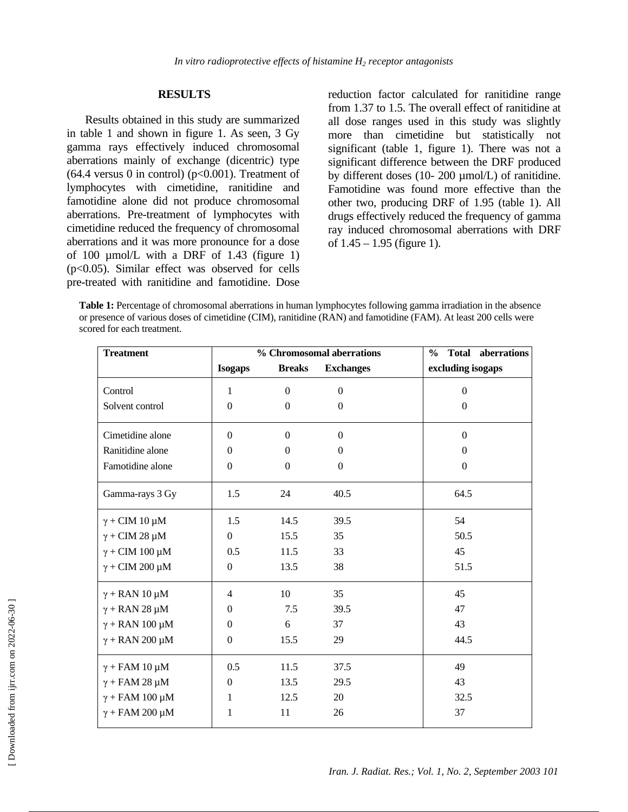### **RESULTS**

Results obtained in this study are summarized in table 1 and shown in figure 1. As seen, 3 Gy gamma rays effectively induced chromosomal aberrations mainly of exchange (dicentric) type  $(64.4$  versus 0 in control) ( $p<0.001$ ). Treatment of lymphocytes with cimetidine, ranitidine and famotidine alone did not produce chromosomal aberrations. Pre-treatment of lymphocytes with cimetidine reduced the frequency of chromosomal aberrations and it was more pronounce for a dose of 100 µmol/L with a DRF of 1.43 (figure 1) (p<0.05). Similar effect was observed for cells pre-treated with ranitidine and famotidine. Dose reduction factor calculated for ranitidine range from 1.37 to 1.5. The overall effect of ranitidine at all dose ranges used in this study was slightly more than cimetidine but statistically not significant (table 1, figure 1). There was not a significant difference between the DRF produced by different doses (10- 200 µmol/L) of ranitidine. Famotidine was found more effective than the other two, producing DRF of 1.95 (table 1). All drugs effectively reduced the frequency of gamma ray induced chromosomal aberrations with DRF of  $1.45 - 1.95$  (figure 1).

**Table 1:** Percentage of chromosomal aberrations in human lymphocytes following gamma irradiation in the absence or presence of various doses of cimetidine (CIM), ranitidine (RAN) and famotidine (FAM). At least 200 cells were scored for each treatment.

| <b>Treatment</b>           | % Chromosomal aberrations |                |                  | <b>Total aberrations</b><br>$\frac{6}{9}$ |
|----------------------------|---------------------------|----------------|------------------|-------------------------------------------|
|                            | <b>Isogaps</b>            | <b>Breaks</b>  | <b>Exchanges</b> | excluding isogaps                         |
| Control                    | 1                         | $\Omega$       | $\Omega$         | $\boldsymbol{0}$                          |
| Solvent control            | $\mathbf{0}$              | $\theta$       | $\mathbf{0}$     | $\mathbf{0}$                              |
| Cimetidine alone           | $\Omega$                  | $\overline{0}$ | $\overline{0}$   | $\boldsymbol{0}$                          |
| Ranitidine alone           | $\Omega$                  | $\mathbf{0}$   | $\boldsymbol{0}$ | $\mathbf{0}$                              |
| Famotidine alone           | $\mathbf{0}$              | $\mathbf{0}$   | $\overline{0}$   | $\mathbf{0}$                              |
| Gamma-rays 3 Gy            | 1.5                       | 24             | 40.5             | 64.5                                      |
| $\gamma$ + CIM 10 µM       | 1.5                       | 14.5           | 39.5             | 54                                        |
| $\gamma$ + CIM 28 $\mu$ M  | $\overline{0}$            | 15.5           | 35               | 50.5                                      |
| $\gamma$ + CIM 100 µM      | 0.5                       | 11.5           | 33               | 45                                        |
| $\gamma$ + CIM 200 µM      | $\mathbf{0}$              | 13.5           | 38               | 51.5                                      |
| $\gamma$ + RAN 10 $\mu$ M  | $\overline{4}$            | 10             | 35               | 45                                        |
| $\gamma$ + RAN 28 µM       | $\Omega$                  | 7.5            | 39.5             | 47                                        |
| $\gamma$ + RAN 100 µM      | $\Omega$                  | 6              | 37               | 43                                        |
| $\gamma$ + RAN 200 µM      | $\boldsymbol{0}$          | 15.5           | 29               | 44.5                                      |
| $\gamma$ + FAM 10 $\mu$ M  | 0.5                       | 11.5           | 37.5             | 49                                        |
| $\gamma$ + FAM 28 $\mu$ M  | $\mathbf{0}$              | 13.5           | 29.5             | 43                                        |
| $\gamma$ + FAM 100 $\mu$ M | 1                         | 12.5           | 20               | 32.5                                      |
| $\gamma$ + FAM 200 $\mu$ M | 1                         | 11             | 26               | 37                                        |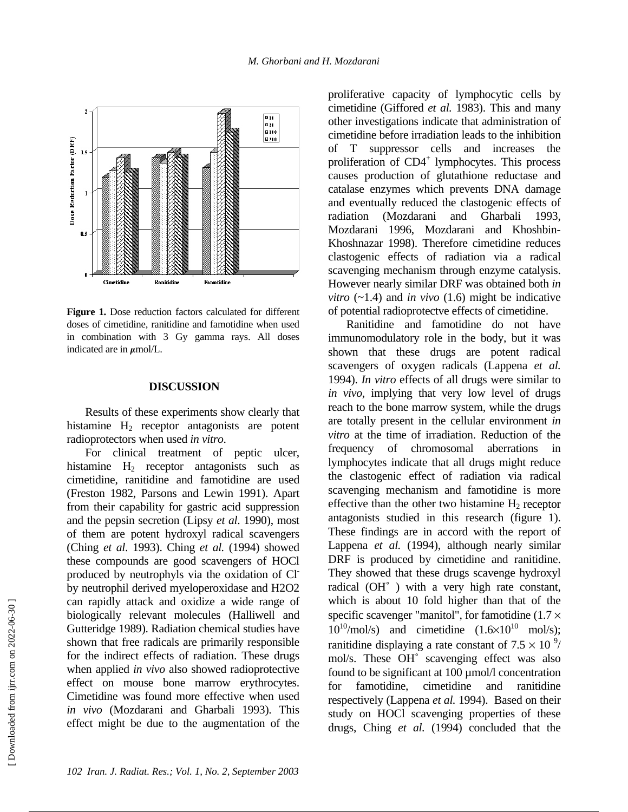

**Figure 1.** Dose reduction factors calculated for different doses of cimetidine, ranitidine and famotidine when used in combination with 3 Gy gamma rays. All doses indicated are in  $\mu$ mol/L.

### **DISCUSSION**

Results of these experiments show clearly that histamine  $H_2$  receptor antagonists are potent radioprotectors when used *in vitro*.

For clinical treatment of peptic ulcer, histamine  $H_2$  receptor antagonists such as cimetidine, ranitidine and famotidine are used (Freston 1982, Parsons and Lewin 1991). Apart from their capability for gastric acid suppression and the pepsin secretion (Lipsy *et al*. 1990), most of them are potent hydroxyl radical scavengers (Ching *et al*. 1993). Ching *et al.* (1994) showed these compounds are good scavengers of HOCl produced by neutrophyls via the oxidation of Clby neutrophil derived myeloperoxidase and H2O2 can rapidly attack and oxidize a wide range of biologically relevant molecules (Halliwell and Gutteridge 1989). Radiation chemical studies have shown that free radicals are primarily responsible for the indirect effects of radiation. These drugs when applied *in vivo* also showed radioprotective effect on mouse bone marrow erythrocytes. Cimetidine was found more effective when used *in vivo* (Mozdarani and Gharbali 1993). This effect might be due to the augmentation of the proliferative capacity of lymphocytic cells by cimetidine (Giffored *et al.* 1983). This and many other investigations indicate that administration of cimetidine before irradiation leads to the inhibition of T suppressor cells and increases the proliferation of CD4<sup>+</sup> lymphocytes. This process causes production of glutathione reductase and catalase enzymes which prevents DNA damage and eventually reduced the clastogenic effects of radiation (Mozdarani and Gharbali 1993, Mozdarani 1996, Mozdarani and Khoshbin-Khoshnazar 1998). Therefore cimetidine reduces clastogenic effects of radiation via a radical scavenging mechanism through enzyme catalysis. However nearly similar DRF was obtained both *in vitro*  $(-1.4)$  and *in vivo*  $(1.6)$  might be indicative of potential radioprotectve effects of cimetidine.

Ranitidine and famotidine do not have immunomodulatory role in the body, but it was shown that these drugs are potent radical scavengers of oxygen radicals (Lappena *et al.* 1994). *In vitro* effects of all drugs were similar to *in vivo*, implying that very low level of drugs reach to the bone marrow system, while the drugs are totally present in the cellular environment *in vitro* at the time of irradiation. Reduction of the frequency of chromosomal aberrations in lymphocytes indicate that all drugs might reduce the clastogenic effect of radiation via radical scavenging mechanism and famotidine is more effective than the other two histamine  $H<sub>2</sub>$  receptor antagonists studied in this research (figure 1). These findings are in accord with the report of Lappena *et al.* (1994), although nearly similar DRF is produced by cimetidine and ranitidine. They showed that these drugs scavenge hydroxyl radical (OH˚ ) with a very high rate constant, which is about 10 fold higher than that of the specific scavenger "manitol", for famotidine  $(1.7 \times$  $10^{10}/\text{mol/s}$  and cimetidine  $(1.6\times10^{10} \text{ mol/s})$ ; ranitidine displaying a rate constant of  $7.5 \times 10^{-9}$ / mol/s. These OH˚ scavenging effect was also found to be significant at 100 µmol/l concentration for famotidine, cimetidine and ranitidine respectively (Lappena *et al.* 1994). Based on their study on HOCl scavenging properties of these drugs, Ching *et al.* (1994) concluded that the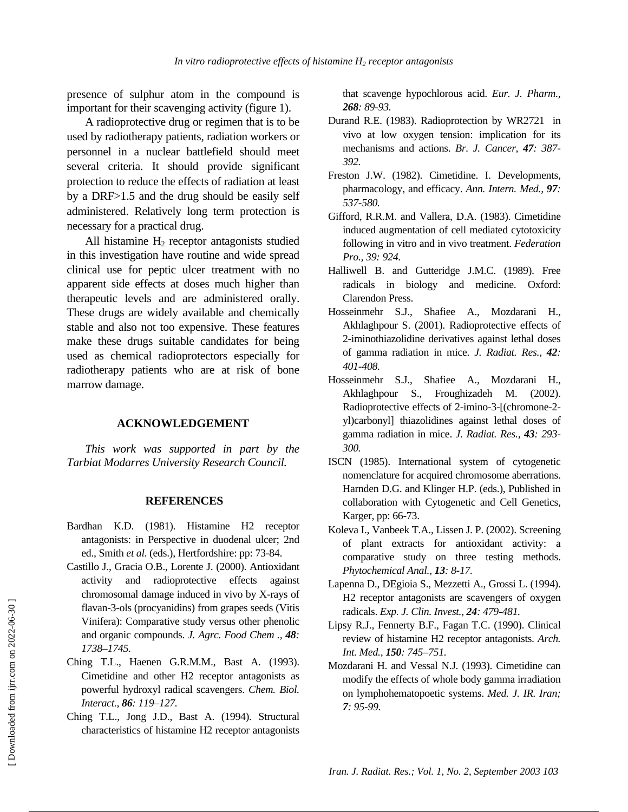presence of sulphur atom in the compound is important for their scavenging activity (figure 1).

A radioprotective drug or regimen that is to be used by radiotherapy patients, radiation workers or personnel in a nuclear battlefield should meet several criteria. It should provide significant protection to reduce the effects of radiation at least by a DRF>1.5 and the drug should be easily self administered. Relatively long term protection is necessary for a practical drug.

All histamine  $H_2$  receptor antagonists studied in this investigation have routine and wide spread clinical use for peptic ulcer treatment with no apparent side effects at doses much higher than therapeutic levels and are administered orally. These drugs are widely available and chemically stable and also not too expensive. These features make these drugs suitable candidates for being used as chemical radioprotectors especially for radiotherapy patients who are at risk of bone marrow damage.

### **ACKNOWLEDGEMENT**

*This work was supported in part by the Tarbiat Modarres University Research Council.* 

#### **REFERENCES**

- Bardhan K.D. (1981). Histamine H2 receptor antagonists: in Perspective in duodenal ulcer; 2nd ed., Smith *et al.* (eds.), Hertfordshire: pp: 73-84.
- Castillo J., Gracia O.B., Lorente J. (2000). Antioxidant activity and radioprotective effects against chromosomal damage induced in vivo by X-rays of flavan-3-ols (procyanidins) from grapes seeds (Vitis Vinifera): Comparative study versus other phenolic and organic compounds. *J. Agrc. Food Chem ., 48: 1738–1745.*
- Ching T.L., Haenen G.R.M.M., Bast A. (1993). Cimetidine and other H2 receptor antagonists as powerful hydroxyl radical scavengers. *Chem. Biol. Interact., 86: 119–127.*
- Ching T.L., Jong J.D., Bast A. (1994). Structural characteristics of histamine H2 receptor antagonists

that scavenge hypochlorous acid. *Eur. J. Pharm., 268: 89-93.* 

- Durand R.E. (1983). Radioprotection by WR2721 in vivo at low oxygen tension: implication for its mechanisms and actions. *Br. J. Cancer, 47: 387- 392.*
- Freston J.W. (1982). Cimetidine. I. Developments, pharmacology, and efficacy. *Ann. Intern. Med., 97: 537-580.*
- Gifford, R.R.M. and Vallera, D.A. (1983). Cimetidine induced augmentation of cell mediated cytotoxicity following in vitro and in vivo treatment. *Federation Pro., 39: 924.*
- Halliwell B. and Gutteridge J.M.C. (1989). Free radicals in biology and medicine. Oxford: Clarendon Press.
- Hosseinmehr S.J., Shafiee A., Mozdarani H., Akhlaghpour S. (2001). Radioprotective effects of 2-iminothiazolidine derivatives against lethal doses of gamma radiation in mice. *J. Radiat. Res., 42: 401-408.*
- Hosseinmehr S.J., Shafiee A., Mozdarani H., Akhlaghpour S., Froughizadeh M. (2002). Radioprotective effects of 2-imino-3-[(chromone-2 yl)carbonyl] thiazolidines against lethal doses of gamma radiation in mice. *J. Radiat. Res., 43: 293- 300.*
- ISCN (1985). International system of cytogenetic nomenclature for acquired chromosome aberrations. Harnden D.G. and Klinger H.P. (eds.), Published in collaboration with Cytogenetic and Cell Genetics, Karger, pp: 66-73.
- Koleva I., Vanbeek T.A., Lissen J. P. (2002). Screening of plant extracts for antioxidant activity: a comparative study on three testing methods. *Phytochemical Anal., 13: 8-17.*
- Lapenna D., DEgioia S., Mezzetti A., Grossi L. (1994). H2 receptor antagonists are scavengers of oxygen radicals. *Exp. J. Clin. Invest., 24: 479-481.*
- Lipsy R.J., Fennerty B.F., Fagan T.C. (1990). Clinical review of histamine H2 receptor antagonists. *Arch. Int. Med., 150: 745–751.*
- Mozdarani H. and Vessal N.J. (1993). Cimetidine can modify the effects of whole body gamma irradiation on lymphohematopoetic systems. *Med. J. IR. Iran; 7: 95-99.*